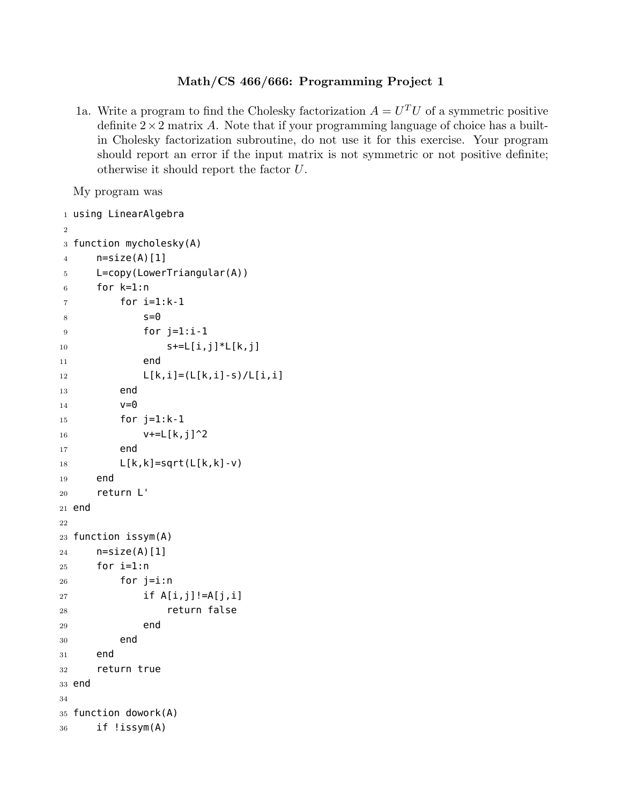## **Math/CS 466/666: Programming Project 1**

1a. Write a program to find the Cholesky factorization  $A = U<sup>T</sup>U$  of a symmetric positive definite  $2 \times 2$  matrix *A*. Note that if your programming language of choice has a builtin Cholesky factorization subroutine, do not use it for this exercise. Your program should report an error if the input matrix is not symmetric or not positive definite; otherwise it should report the factor *U*.

My program was

```
1 using LinearAlgebra
2
3 function mycholesky(A)
4 n=size(A)[1]5 L=copy(LowerTriangular(A))
6 for k=1:n7 for i=1:k-1s = 09 \qquad \qquad \text{for } j=1:i-110 S+=L[i,j]*L[k,j]11 end
12 L[k,i] = (L[k,i]-s)/L[i,i]13 end
v=015 for j=1:k-116 V+=L[K,j]^217 end
18 L[k,k]=sqrt(L[k,k]-v)19 end
20 return L'
21 end
22
23 function issym(A)
24 n=size(A)[1]
25 for i=1:n
26 for j=i:n27 if A[i,j]!=A[j,i]
28 return false
29 end
30 end
31 end
32 return true
33 end
34
35 function dowork(A)
36 if !issym(A)
```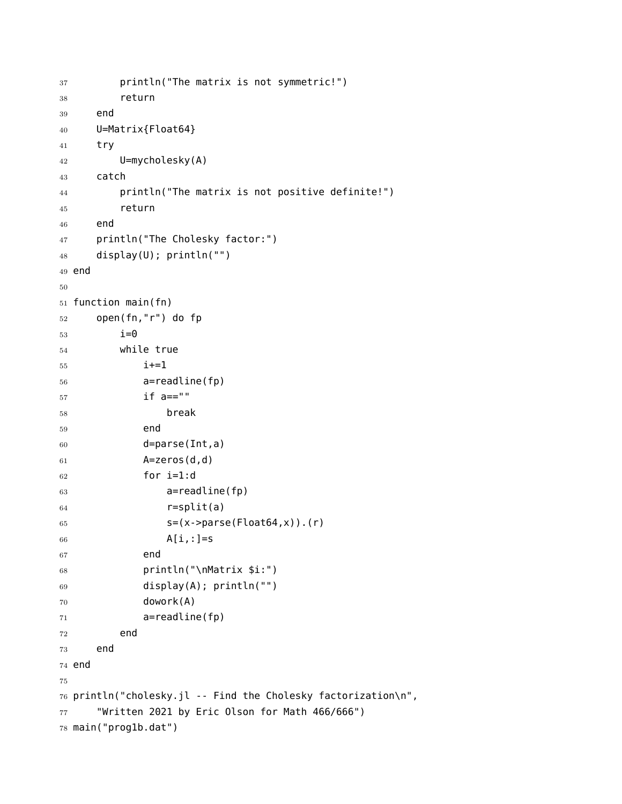```
37 println("The matrix is not symmetric!")
38 return
39 end
40 U=Matrix{Float64}
41 try
42 U=mycholesky(A)
43 catch
44 println("The matrix is not positive definite!")
45 return
46 end
47 println("The Cholesky factor:")
48 display(U); println("")
49 end
50
51 function main(fn)
52 open(fn,"r") do fp
53 i=054 while true
55 i+=156 a=readline(fp)
57 if a==""
58 break
59 end
60 d=parse(Int,a)
61 A=zeros(d,d)
62 for i=1:d63 a=readline(fp)
64 r=split(a)
65 s=(x-)parse(Float64,x).(r)
66 A[i,:]=s67 end
68 println("\nMatrix $i:")
69 display(A); println("")
70 dowork(A)
71 a=readline(fp)
72 end
73 end
74 end
75
76 println("cholesky.jl -- Find the Cholesky factorization\n",
77 "Written 2021 by Eric Olson for Math 466/666")
78 main("prog1b.dat")
```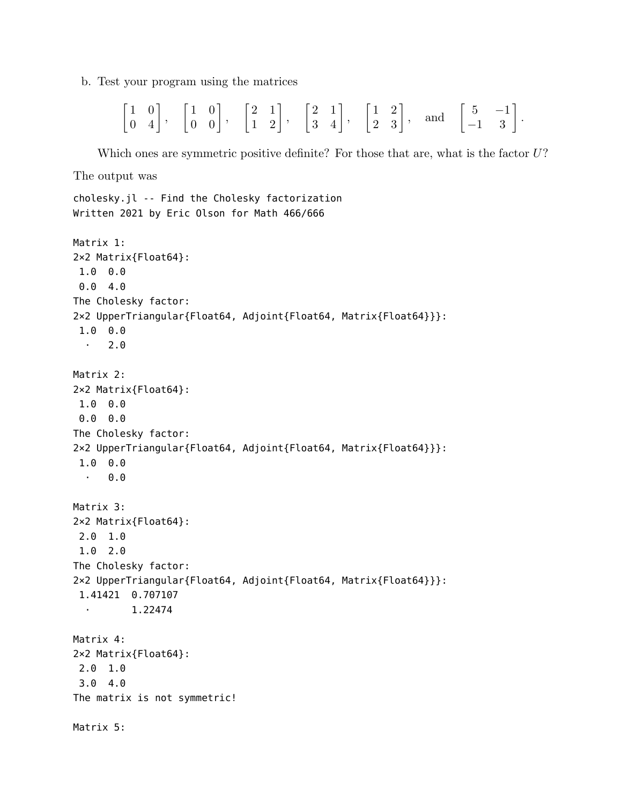b. Test your program using the matrices

$$
\begin{bmatrix} 1 & 0 \\ 0 & 4 \end{bmatrix}, \quad \begin{bmatrix} 1 & 0 \\ 0 & 0 \end{bmatrix}, \quad \begin{bmatrix} 2 & 1 \\ 1 & 2 \end{bmatrix}, \quad \begin{bmatrix} 2 & 1 \\ 3 & 4 \end{bmatrix}, \quad \begin{bmatrix} 1 & 2 \\ 2 & 3 \end{bmatrix}, \quad \text{and} \quad \begin{bmatrix} 5 & -1 \\ -1 & 3 \end{bmatrix}.
$$

Which ones are symmetric positive definite? For those that are, what is the factor *U*?

The output was

```
cholesky.jl -- Find the Cholesky factorization
Written 2021 by Eric Olson for Math 466/666
```

```
Matrix 1:
2×2 Matrix{Float64}:
1.0 0.0
0.0 4.0
The Cholesky factor:
2×2 UpperTriangular{Float64, Adjoint{Float64, Matrix{Float64}}}:
 1.0 0.0
  \cdot 2.0
Matrix 2:
2×2 Matrix{Float64}:
1.0 0.0
0.0 0.0
The Cholesky factor:
2×2 UpperTriangular{Float64, Adjoint{Float64, Matrix{Float64}}}:
 1.0 0.0
  \cdot 0.0
Matrix 3:
2×2 Matrix{Float64}:
2.0 1.0
1.0 2.0
The Cholesky factor:
2×2 UpperTriangular{Float64, Adjoint{Float64, Matrix{Float64}}}:
 1.41421 0.707107
  ⋅ 1.22474
Matrix 4:
2×2 Matrix{Float64}:
2.0 1.0
3.0 4.0
The matrix is not symmetric!
Matrix 5:
```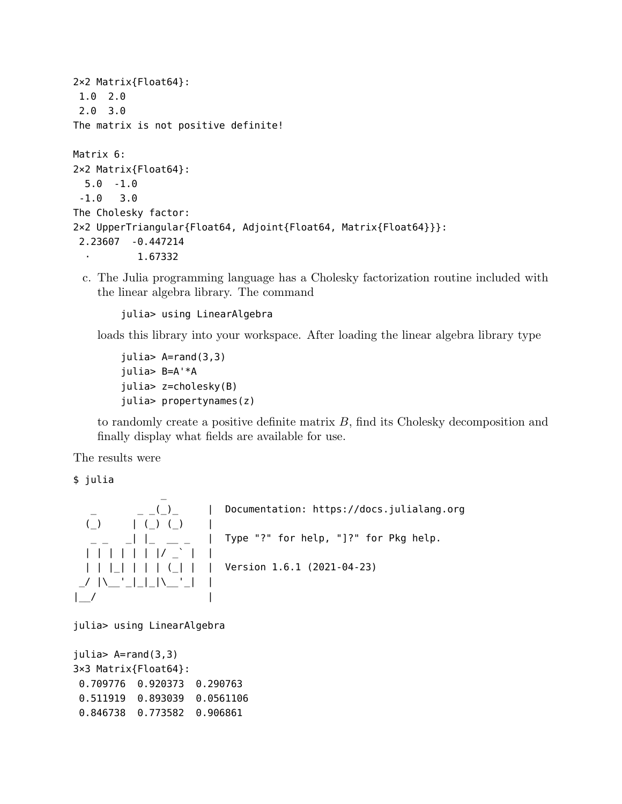```
2×2 Matrix{Float64}:
 1.0 2.0
 2.0 3.0
The matrix is not positive definite!
Matrix 6:
2×2 Matrix{Float64}:
 5.0 -1.0
 -1.0 3.0
The Cholesky factor:
2×2 UpperTriangular{Float64, Adjoint{Float64, Matrix{Float64}}}:
2.23607 -0.447214
           ⋅ 1.67332
```
c. The Julia programming language has a Cholesky factorization routine included with the linear algebra library. The command

julia> using LinearAlgebra

loads this library into your workspace. After loading the linear algebra library type

```
julia> A=rand(3,3)
julia> B=A'*A
julia> z=cholesky(B)
julia> propertynames(z)
```
to randomly create a positive definite matrix *B*, find its Cholesky decomposition and finally display what fields are available for use.

The results were

\$ julia

\_ \_ \_ \_(\_)\_ | Documentation: https://docs.julialang.org (\_) | (\_) (\_) | \_ \_ \_| |\_ \_\_ \_ | Type "?" for help, "]?" for Pkg help. | | | | | | |/ \_` | | | | |\_| | | | (\_| | | Version 1.6.1 (2021-04-23) \_/ |\\_\_'\_|\_|\_|\\_\_'\_| | |\_\_/ |

julia> using LinearAlgebra

```
julia> A=rand(3,3)
3×3 Matrix{Float64}:
0.709776 0.920373 0.290763
 0.511919 0.893039 0.0561106
 0.846738 0.773582 0.906861
```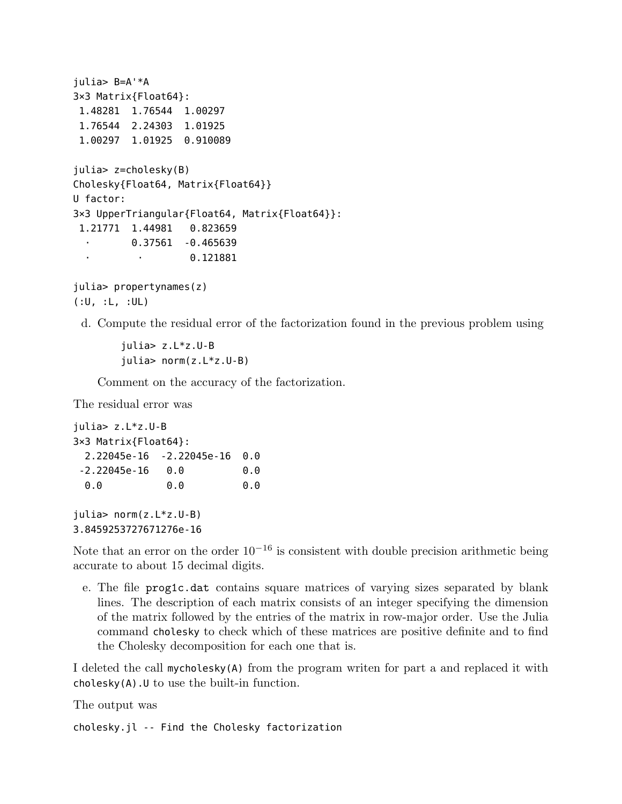```
julia> B=A'*A
3×3 Matrix{Float64}:
 1.48281 1.76544 1.00297
 1.76544 2.24303 1.01925
 1.00297 1.01925 0.910089
julia> z=cholesky(B)
Cholesky{Float64, Matrix{Float64}}
U factor:
3×3 UpperTriangular{Float64, Matrix{Float64}}:
 1.21771 1.44981 0.823659
  ⋅ 0.37561 -0.465639
                   ⋅ ⋅ 0.121881
```

```
julia> propertynames(z)
(:U, :L, :UL)
```
d. Compute the residual error of the factorization found in the previous problem using

julia> z.L\*z.U-B julia> norm(z.L\*z.U-B)

Comment on the accuracy of the factorization.

The residual error was

```
julia> z.L*z.U-B
3×3 Matrix{Float64}:
 2.22045e-16 -2.22045e-16 0.0
-2.22045e-16 0.0 0.0
 0.0 0.0 0.0
```
julia> norm(z.L\*z.U-B) 3.8459253727671276e-16

Note that an error on the order  $10^{-16}$  is consistent with double precision arithmetic being accurate to about 15 decimal digits.

e. The file prog1c.dat contains square matrices of varying sizes separated by blank lines. The description of each matrix consists of an integer specifying the dimension of the matrix followed by the entries of the matrix in row-major order. Use the Julia command cholesky to check which of these matrices are positive definite and to find the Cholesky decomposition for each one that is.

I deleted the call mycholesky(A) from the program writen for part a and replaced it with cholesky(A).U to use the built-in function.

The output was

cholesky.jl -- Find the Cholesky factorization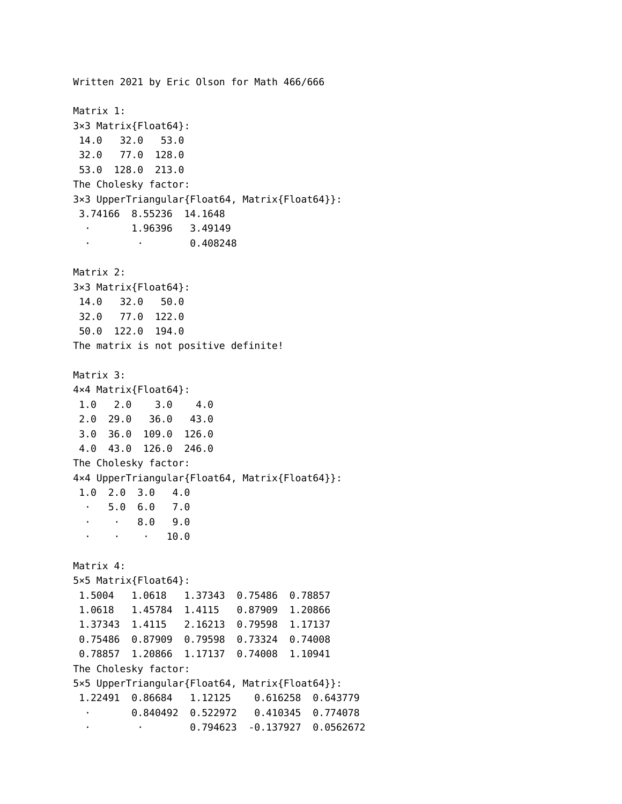Written 2021 by Eric Olson for Math 466/666 Matrix 1: 3×3 Matrix{Float64}: 14.0 32.0 53.0 32.0 77.0 128.0 53.0 128.0 213.0 The Cholesky factor: 3×3 UpperTriangular{Float64, Matrix{Float64}}: 3.74166 8.55236 14.1648 ⋅ 1.96396 3.49149 ⋅ ⋅ 0.408248 Matrix 2: 3×3 Matrix{Float64}: 14.0 32.0 50.0 32.0 77.0 122.0 50.0 122.0 194.0 The matrix is not positive definite! Matrix 3: 4×4 Matrix{Float64}: 1.0 2.0 3.0 4.0 2.0 29.0 36.0 43.0 3.0 36.0 109.0 126.0 4.0 43.0 126.0 246.0 The Cholesky factor: 4×4 UpperTriangular{Float64, Matrix{Float64}}: 1.0 2.0 3.0 4.0 ⋅ 5.0 6.0 7.0 ⋅ ⋅ 8.0 9.0  $\cdot$   $\cdot$   $\cdot$  10.0 Matrix 4: 5×5 Matrix{Float64}: 1.5004 1.0618 1.37343 0.75486 0.78857 1.0618 1.45784 1.4115 0.87909 1.20866 1.37343 1.4115 2.16213 0.79598 1.17137 0.75486 0.87909 0.79598 0.73324 0.74008 0.78857 1.20866 1.17137 0.74008 1.10941 The Cholesky factor: 5×5 UpperTriangular{Float64, Matrix{Float64}}: 1.22491 0.86684 1.12125 0.616258 0.643779 ⋅ 0.840492 0.522972 0.410345 0.774078 ⋅ ⋅ 0.794623 -0.137927 0.0562672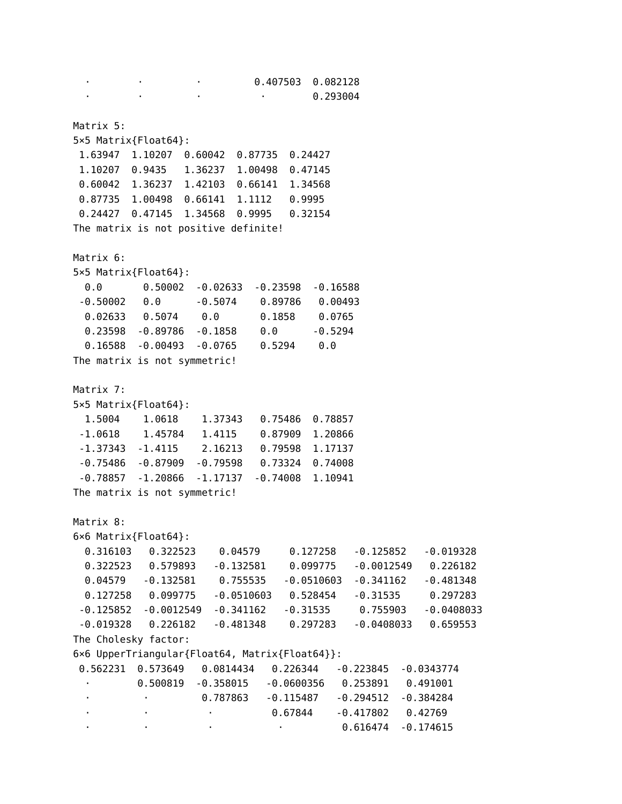⋅ ⋅ ⋅ 0.407503 0.082128 ⋅ **0.293004** Matrix 5: 5×5 Matrix{Float64}: 1.63947 1.10207 0.60042 0.87735 0.24427 1.10207 0.9435 1.36237 1.00498 0.47145 0.60042 1.36237 1.42103 0.66141 1.34568 0.87735 1.00498 0.66141 1.1112 0.9995 0.24427 0.47145 1.34568 0.9995 0.32154 The matrix is not positive definite! Matrix 6: 5×5 Matrix{Float64}: 0.0 0.50002 -0.02633 -0.23598 -0.16588 -0.50002 0.0 -0.5074 0.89786 0.00493 0.02633 0.5074 0.0 0.1858 0.0765 0.23598 -0.89786 -0.1858 0.0 -0.5294 0.16588 -0.00493 -0.0765 0.5294 0.0 The matrix is not symmetric! Matrix 7: 5×5 Matrix{Float64}: 1.5004 1.0618 1.37343 0.75486 0.78857 -1.0618 1.45784 1.4115 0.87909 1.20866 -1.37343 -1.4115 2.16213 0.79598 1.17137 -0.75486 -0.87909 -0.79598 0.73324 0.74008 -0.78857 -1.20866 -1.17137 -0.74008 1.10941 The matrix is not symmetric! Matrix 8: 6×6 Matrix{Float64}: 0.316103 0.322523 0.04579 0.127258 -0.125852 -0.019328 0.322523 0.579893 -0.132581 0.099775 -0.0012549 0.226182 0.04579 -0.132581 0.755535 -0.0510603 -0.341162 -0.481348 0.127258 0.099775 -0.0510603 0.528454 -0.31535 0.297283 -0.125852 -0.0012549 -0.341162 -0.31535 0.755903 -0.0408033 -0.019328 0.226182 -0.481348 0.297283 -0.0408033 0.659553 The Cholesky factor: 6×6 UpperTriangular{Float64, Matrix{Float64}}: 0.562231 0.573649 0.0814434 0.226344 -0.223845 -0.0343774 ⋅ 0.500819 -0.358015 -0.0600356 0.253891 0.491001 ⋅ ⋅ 0.787863 -0.115487 -0.294512 -0.384284 ⋅ ⋅ ⋅ 0.67844 -0.417802 0.42769 ⋅ ⋅ ⋅ ⋅ 0.616474 -0.174615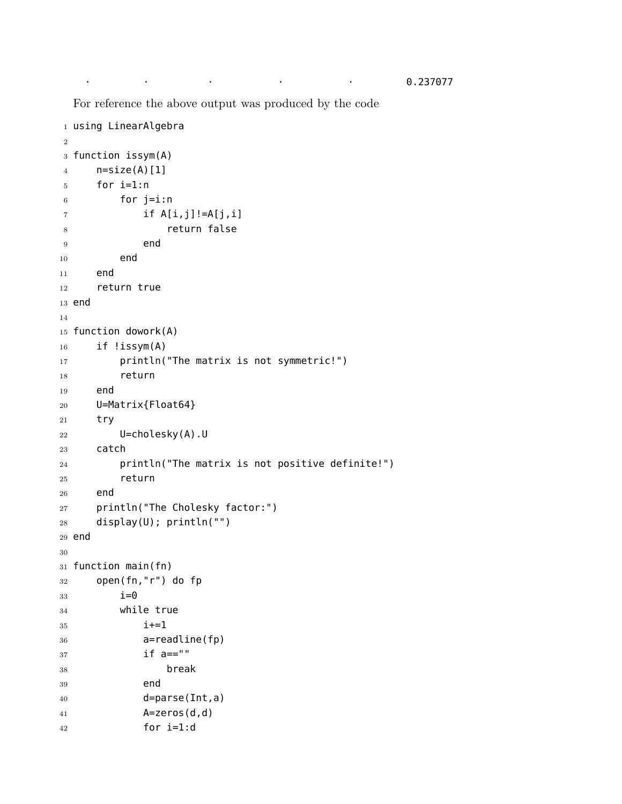For reference the above output was produced by the code

```
1 using LinearAlgebra
2
3 function issym(A)
4 n=size(A)[1]
5 for i=1:n
6 for j=i:n7 if A[i,j]!=A[j,i]8 return false
9 end
10 end
11 end
12 return true
13 end
14
15 function dowork(A)
16 if !issym(A)
17 println("The matrix is not symmetric!")
18 return
19 end
20 U=Matrix{Float64}
21 try
22 U=cholesky(A).U
23 catch
24 println("The matrix is not positive definite!")
25 return
26 end
27 println("The Cholesky factor:")
28 display(U); println("")
29 end
30
31 function main(fn)
32 open(fn,"r") do fp
33 \t i=034 while true
35 i+=136 a=readline(fp)
37 if a == ""38 break
39 end
40 d=parse(Int,a)
41 A=zeros(d,d)
42 for i=1:d
```